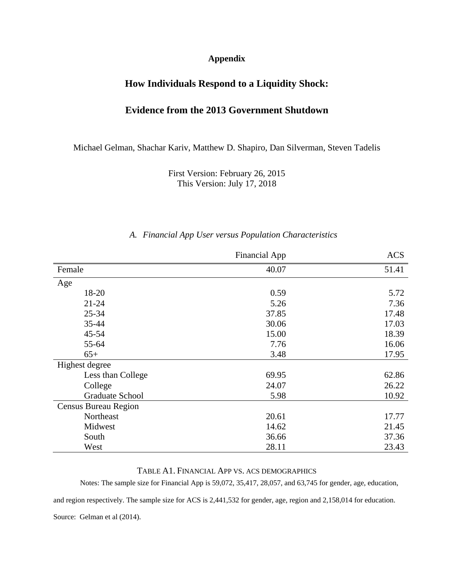#### **Appendix**

# **How Individuals Respond to a Liquidity Shock:**

## **Evidence from the 2013 Government Shutdown**

Michael Gelman, Shachar Kariv, Matthew D. Shapiro, Dan Silverman, Steven Tadelis

First Version: February 26, 2015 This Version: July 17, 2018

#### *A. Financial App User versus Population Characteristics*

|                      | <b>Financial App</b> | <b>ACS</b> |
|----------------------|----------------------|------------|
| Female               | 40.07                | 51.41      |
| Age                  |                      |            |
| 18-20                | 0.59                 | 5.72       |
| $21 - 24$            | 5.26                 | 7.36       |
| 25-34                | 37.85                | 17.48      |
| 35-44                | 30.06                | 17.03      |
| 45-54                | 15.00                | 18.39      |
| 55-64                | 7.76                 | 16.06      |
| $65+$                | 3.48                 | 17.95      |
| Highest degree       |                      |            |
| Less than College    | 69.95                | 62.86      |
| College              | 24.07                | 26.22      |
| Graduate School      | 5.98                 | 10.92      |
| Census Bureau Region |                      |            |
| Northeast            | 20.61                | 17.77      |
| Midwest              | 14.62                | 21.45      |
| South                | 36.66                | 37.36      |
| West                 | 28.11                | 23.43      |

#### TABLE A1. FINANCIAL APP VS. ACS DEMOGRAPHICS

Notes: The sample size for Financial App is 59,072, 35,417, 28,057, and 63,745 for gender, age, education,

and region respectively. The sample size for ACS is 2,441,532 for gender, age, region and 2,158,014 for education.

Source: Gelman et al (2014).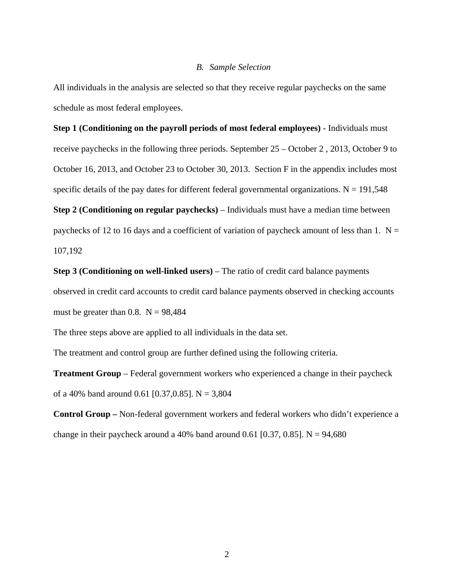#### *B. Sample Selection*

All individuals in the analysis are selected so that they receive regular paychecks on the same schedule as most federal employees.

# **Step 1 (Conditioning on the payroll periods of most federal employees)** - Individuals must receive paychecks in the following three periods. September 25 – October 2 , 2013, October 9 to

October 16, 2013, and October 23 to October 30, 2013. Section F in the appendix includes most specific details of the pay dates for different federal governmental organizations.  $N = 191,548$ 

**Step 2 (Conditioning on regular paychecks)** – Individuals must have a median time between paychecks of 12 to 16 days and a coefficient of variation of paycheck amount of less than 1.  $N =$ 107,192

**Step 3 (Conditioning on well-linked users)** – The ratio of credit card balance payments observed in credit card accounts to credit card balance payments observed in checking accounts must be greater than 0.8.  $N = 98,484$ 

The three steps above are applied to all individuals in the data set.

The treatment and control group are further defined using the following criteria.

**Treatment Group** – Federal government workers who experienced a change in their paycheck of a 40% band around 0.61 [0.37,0.85]. N = 3,804

**Control Group –** Non-federal government workers and federal workers who didn't experience a change in their paycheck around a 40% band around 0.61 [0.37, 0.85]. N =  $94,680$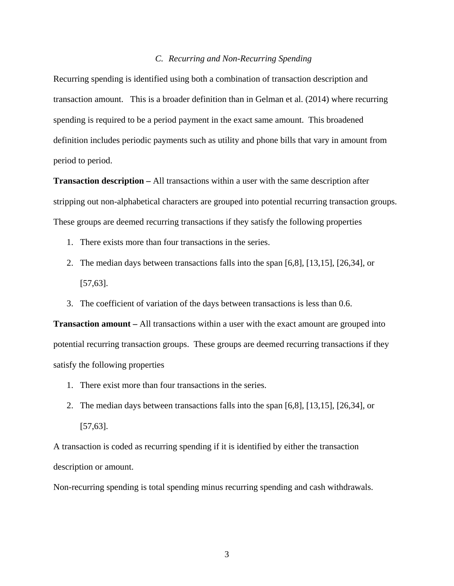#### *C. Recurring and Non-Recurring Spending*

Recurring spending is identified using both a combination of transaction description and transaction amount. This is a broader definition than in Gelman et al. (2014) where recurring spending is required to be a period payment in the exact same amount. This broadened definition includes periodic payments such as utility and phone bills that vary in amount from period to period.

**Transaction description –** All transactions within a user with the same description after stripping out non-alphabetical characters are grouped into potential recurring transaction groups. These groups are deemed recurring transactions if they satisfy the following properties

- 1. There exists more than four transactions in the series.
- 2. The median days between transactions falls into the span [6,8], [13,15], [26,34], or [57,63].
- 3. The coefficient of variation of the days between transactions is less than 0.6.

**Transaction amount –** All transactions within a user with the exact amount are grouped into potential recurring transaction groups. These groups are deemed recurring transactions if they satisfy the following properties

- 1. There exist more than four transactions in the series.
- 2. The median days between transactions falls into the span [6,8], [13,15], [26,34], or [57,63].

A transaction is coded as recurring spending if it is identified by either the transaction description or amount.

Non-recurring spending is total spending minus recurring spending and cash withdrawals.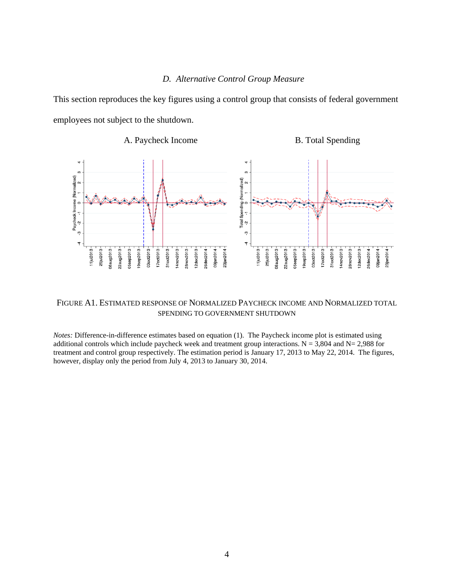#### *D. Alternative Control Group Measure*

This section reproduces the key figures using a control group that consists of federal government employees not subject to the shutdown.



#### FIGURE A1. ESTIMATED RESPONSE OF NORMALIZED PAYCHECK INCOME AND NORMALIZED TOTAL SPENDING TO GOVERNMENT SHUTDOWN

*Notes:* Difference-in-difference estimates based on equation (1). The Paycheck income plot is estimated using additional controls which include paycheck week and treatment group interactions.  $N = 3,804$  and  $N = 2,988$  for treatment and control group respectively. The estimation period is January 17, 2013 to May 22, 2014. The figures, however, display only the period from July 4, 2013 to January 30, 2014.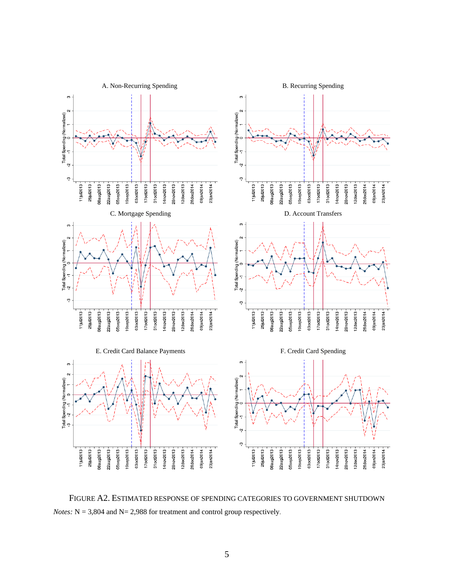

FIGURE A2. ESTIMATED RESPONSE OF SPENDING CATEGORIES TO GOVERNMENT SHUTDOWN *Notes:*  $N = 3,804$  and  $N = 2,988$  for treatment and control group respectively.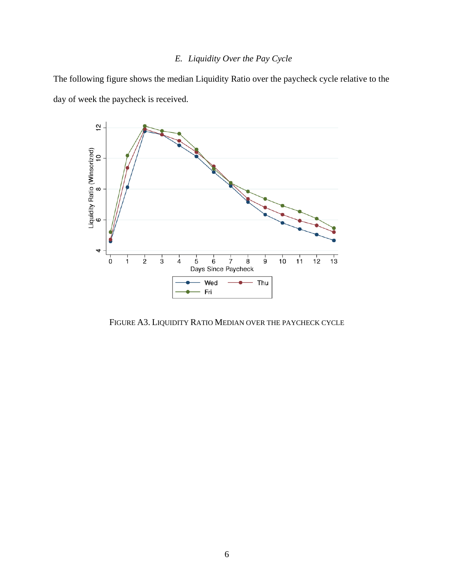# *E. Liquidity Over the Pay Cycle*

The following figure shows the median Liquidity Ratio over the paycheck cycle relative to the day of week the paycheck is received.



FIGURE A3. LIQUIDITY RATIO MEDIAN OVER THE PAYCHECK CYCLE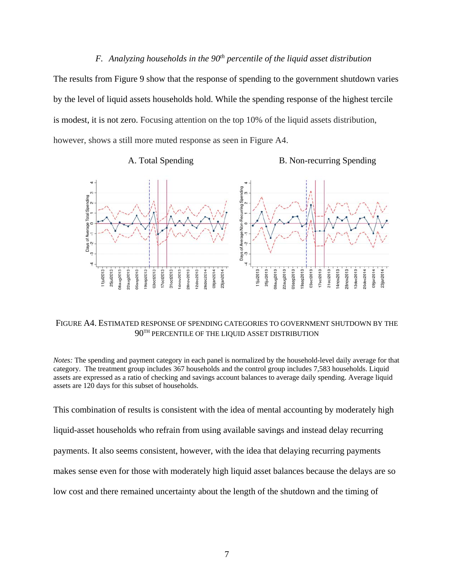## *F.* Analyzing households in the 90<sup>th</sup> percentile of the liquid asset distribution

The results from Figure 9 show that the response of spending to the government shutdown varies by the level of liquid assets households hold. While the spending response of the highest tercile is modest, it is not zero. Focusing attention on the top 10% of the liquid assets distribution, however, shows a still more muted response as seen in Figure A4.





#### FIGURE A4. ESTIMATED RESPONSE OF SPENDING CATEGORIES TO GOVERNMENT SHUTDOWN BY THE  $90^{\text{TH}}$  PERCENTILE OF THE LIQUID ASSET DISTRIBUTION

*Notes:* The spending and payment category in each panel is normalized by the household-level daily average for that category. The treatment group includes 367 households and the control group includes 7,583 households. Liquid assets are expressed as a ratio of checking and savings account balances to average daily spending. Average liquid assets are 120 days for this subset of households.

This combination of results is consistent with the idea of mental accounting by moderately high liquid-asset households who refrain from using available savings and instead delay recurring payments. It also seems consistent, however, with the idea that delaying recurring payments makes sense even for those with moderately high liquid asset balances because the delays are so low cost and there remained uncertainty about the length of the shutdown and the timing of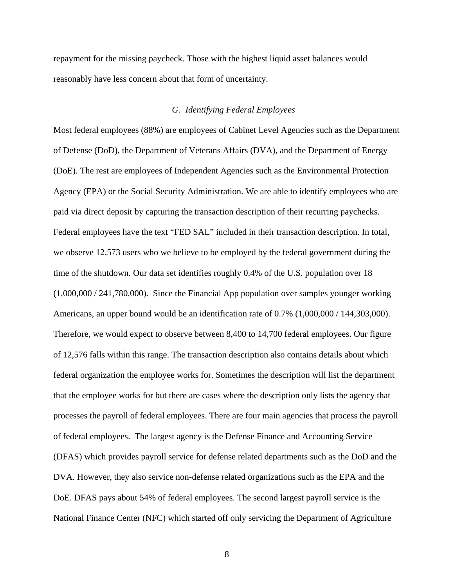repayment for the missing paycheck. Those with the highest liquid asset balances would reasonably have less concern about that form of uncertainty.

#### *G. Identifying Federal Employees*

Most federal employees (88%) are employees of Cabinet Level Agencies such as the Department of Defense (DoD), the Department of Veterans Affairs (DVA), and the Department of Energy (DoE). The rest are employees of Independent Agencies such as the Environmental Protection Agency (EPA) or the Social Security Administration. We are able to identify employees who are paid via direct deposit by capturing the transaction description of their recurring paychecks. Federal employees have the text "FED SAL" included in their transaction description. In total, we observe 12,573 users who we believe to be employed by the federal government during the time of the shutdown. Our data set identifies roughly 0.4% of the U.S. population over 18 (1,000,000 / 241,780,000). Since the Financial App population over samples younger working Americans, an upper bound would be an identification rate of 0.7% (1,000,000 / 144,303,000). Therefore, we would expect to observe between 8,400 to 14,700 federal employees. Our figure of 12,576 falls within this range. The transaction description also contains details about which federal organization the employee works for. Sometimes the description will list the department that the employee works for but there are cases where the description only lists the agency that processes the payroll of federal employees. There are four main agencies that process the payroll of federal employees. The largest agency is the Defense Finance and Accounting Service (DFAS) which provides payroll service for defense related departments such as the DoD and the DVA. However, they also service non-defense related organizations such as the EPA and the DoE. DFAS pays about 54% of federal employees. The second largest payroll service is the National Finance Center (NFC) which started off only servicing the Department of Agriculture

8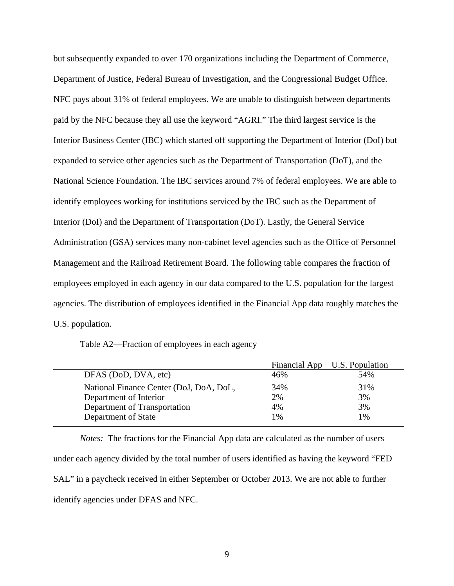but subsequently expanded to over 170 organizations including the Department of Commerce, Department of Justice, Federal Bureau of Investigation, and the Congressional Budget Office. NFC pays about 31% of federal employees. We are unable to distinguish between departments paid by the NFC because they all use the keyword "AGRI." The third largest service is the Interior Business Center (IBC) which started off supporting the Department of Interior (DoI) but expanded to service other agencies such as the Department of Transportation (DoT), and the National Science Foundation. The IBC services around 7% of federal employees. We are able to identify employees working for institutions serviced by the IBC such as the Department of Interior (DoI) and the Department of Transportation (DoT). Lastly, the General Service Administration (GSA) services many non-cabinet level agencies such as the Office of Personnel Management and the Railroad Retirement Board. The following table compares the fraction of employees employed in each agency in our data compared to the U.S. population for the largest agencies. The distribution of employees identified in the Financial App data roughly matches the U.S. population.

Table A2—Fraction of employees in each agency

|                                         |     | Financial App U.S. Population |
|-----------------------------------------|-----|-------------------------------|
| DFAS (DoD, DVA, etc)                    | 46% | 54%                           |
| National Finance Center (DoJ, DoA, DoL, | 34% | 31%                           |
| Department of Interior                  | 2%  | 3%                            |
| Department of Transportation            | 4%  | 3%                            |
| Department of State                     | 1%  | 1%                            |

*Notes:* The fractions for the Financial App data are calculated as the number of users under each agency divided by the total number of users identified as having the keyword "FED SAL" in a paycheck received in either September or October 2013. We are not able to further identify agencies under DFAS and NFC.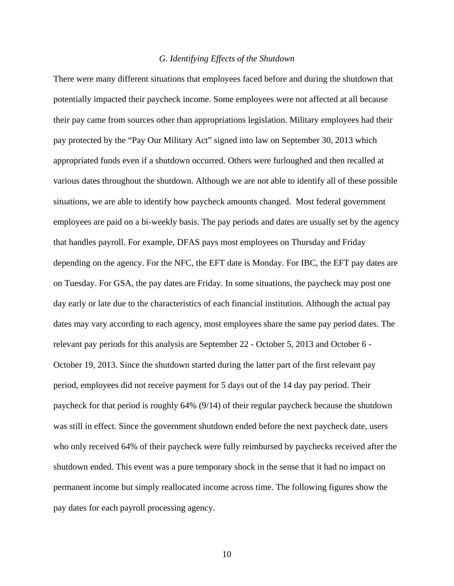#### *G. Identifying Effects of the Shutdown*

There were many different situations that employees faced before and during the shutdown that potentially impacted their paycheck income. Some employees were not affected at all because their pay came from sources other than appropriations legislation. Military employees had their pay protected by the "Pay Our Military Act" signed into law on September 30, 2013 which appropriated funds even if a shutdown occurred. Others were furloughed and then recalled at various dates throughout the shutdown. Although we are not able to identify all of these possible situations, we are able to identify how paycheck amounts changed. Most federal government employees are paid on a bi-weekly basis. The pay periods and dates are usually set by the agency that handles payroll. For example, DFAS pays most employees on Thursday and Friday depending on the agency. For the NFC, the EFT date is Monday. For IBC, the EFT pay dates are on Tuesday. For GSA, the pay dates are Friday. In some situations, the paycheck may post one day early or late due to the characteristics of each financial institution. Although the actual pay dates may vary according to each agency, most employees share the same pay period dates. The relevant pay periods for this analysis are September 22 - October 5, 2013 and October 6 - October 19, 2013. Since the shutdown started during the latter part of the first relevant pay period, employees did not receive payment for 5 days out of the 14 day pay period. Their paycheck for that period is roughly 64% (9/14) of their regular paycheck because the shutdown was still in effect. Since the government shutdown ended before the next paycheck date, users who only received 64% of their paycheck were fully reimbursed by paychecks received after the shutdown ended. This event was a pure temporary shock in the sense that it had no impact on permanent income but simply reallocated income across time. The following figures show the pay dates for each payroll processing agency.

10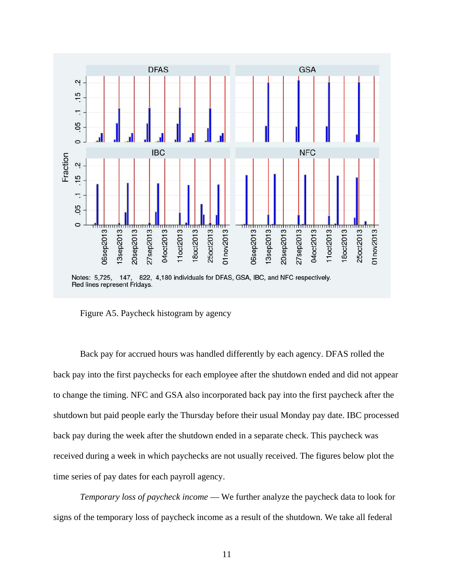

Figure A5. Paycheck histogram by agency

Back pay for accrued hours was handled differently by each agency. DFAS rolled the back pay into the first paychecks for each employee after the shutdown ended and did not appear to change the timing. NFC and GSA also incorporated back pay into the first paycheck after the shutdown but paid people early the Thursday before their usual Monday pay date. IBC processed back pay during the week after the shutdown ended in a separate check. This paycheck was received during a week in which paychecks are not usually received. The figures below plot the time series of pay dates for each payroll agency.

*Temporary loss of paycheck income* — We further analyze the paycheck data to look for signs of the temporary loss of paycheck income as a result of the shutdown. We take all federal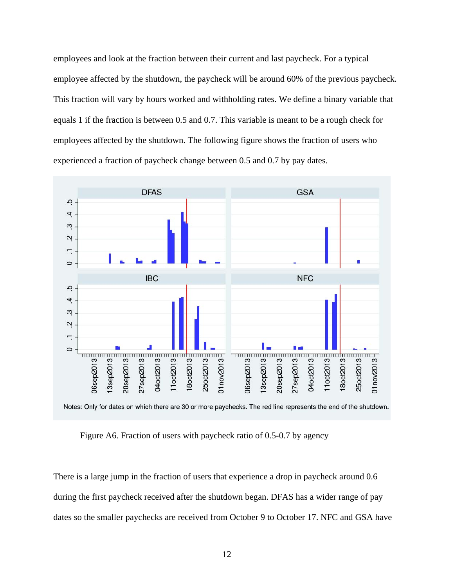employees and look at the fraction between their current and last paycheck. For a typical employee affected by the shutdown, the paycheck will be around 60% of the previous paycheck. This fraction will vary by hours worked and withholding rates. We define a binary variable that equals 1 if the fraction is between 0.5 and 0.7. This variable is meant to be a rough check for employees affected by the shutdown. The following figure shows the fraction of users who experienced a fraction of paycheck change between 0.5 and 0.7 by pay dates.



Figure A6. Fraction of users with paycheck ratio of 0.5-0.7 by agency

There is a large jump in the fraction of users that experience a drop in paycheck around 0.6 during the first paycheck received after the shutdown began. DFAS has a wider range of pay dates so the smaller paychecks are received from October 9 to October 17. NFC and GSA have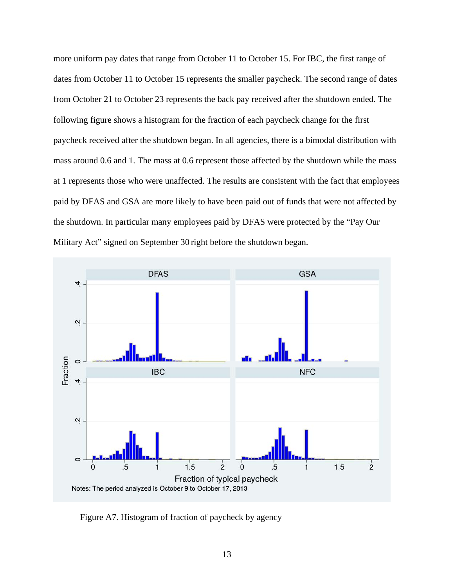more uniform pay dates that range from October 11 to October 15. For IBC, the first range of dates from October 11 to October 15 represents the smaller paycheck. The second range of dates from October 21 to October 23 represents the back pay received after the shutdown ended. The following figure shows a histogram for the fraction of each paycheck change for the first paycheck received after the shutdown began. In all agencies, there is a bimodal distribution with mass around 0.6 and 1. The mass at 0.6 represent those affected by the shutdown while the mass at 1 represents those who were unaffected. The results are consistent with the fact that employees paid by DFAS and GSA are more likely to have been paid out of funds that were not affected by the shutdown. In particular many employees paid by DFAS were protected by the "Pay Our Military Act" signed on September 30 right before the shutdown began.



Figure A7. Histogram of fraction of paycheck by agency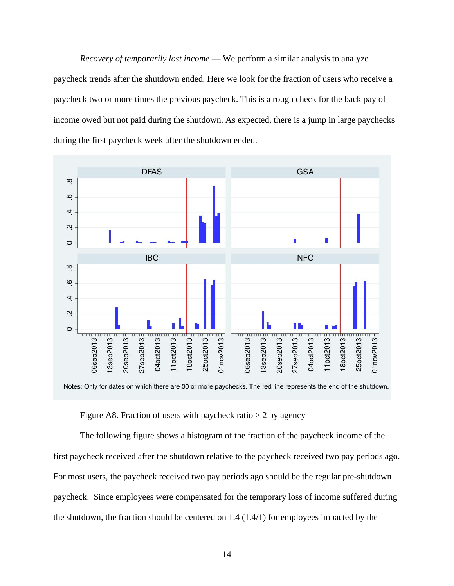*Recovery of temporarily lost income* — We perform a similar analysis to analyze paycheck trends after the shutdown ended. Here we look for the fraction of users who receive a paycheck two or more times the previous paycheck. This is a rough check for the back pay of income owed but not paid during the shutdown. As expected, there is a jump in large paychecks during the first paycheck week after the shutdown ended.



Notes: Only for dates on which there are 30 or more paychecks. The red line represents the end of the shutdown.

Figure A8. Fraction of users with paycheck ratio  $> 2$  by agency

The following figure shows a histogram of the fraction of the paycheck income of the first paycheck received after the shutdown relative to the paycheck received two pay periods ago. For most users, the paycheck received two pay periods ago should be the regular pre-shutdown paycheck. Since employees were compensated for the temporary loss of income suffered during the shutdown, the fraction should be centered on  $1.4 \,(1.4/1)$  for employees impacted by the